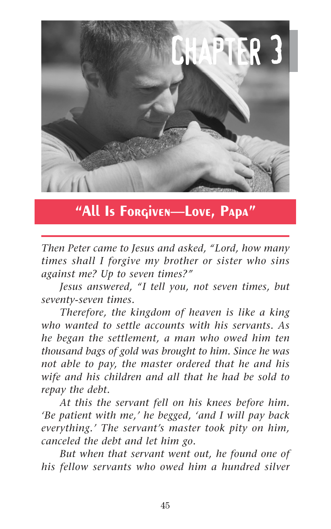

## **"All Is Forgiven—Love, Papa"**

*Then Peter came to Jesus and asked, "Lord, how many times shall I forgive my brother or sister who sins against me? Up to seven times?"* 

*Jesus answered, "I tell you, not seven times, but seventy-seven times.* 

*Therefore, the kingdom of heaven is like a king who wanted to settle accounts with his servants. As he began the settlement, a man who owed him ten thousand bags of gold was brought to him. Since he was not able to pay, the master ordered that he and his wife and his children and all that he had be sold to repay the debt.* 

*At this the servant fell on his knees before him. 'Be patient with me,' he begged, 'and I will pay back everything.' The servant's master took pity on him, canceled the debt and let him go.* 

*But when that servant went out, he found one of his fellow servants who owed him a hundred silver*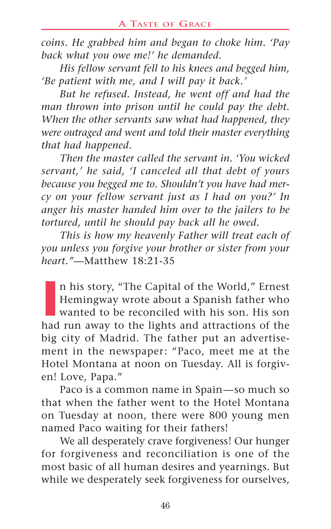*coins. He grabbed him and began to choke him. 'Pay back what you owe me!' he demanded.* 

*His fellow servant fell to his knees and begged him, 'Be patient with me, and I will pay it back.'* 

*But he refused. Instead, he went off and had the man thrown into prison until he could pay the debt. When the other servants saw what had happened, they were outraged and went and told their master everything that had happened.* 

*Then the master called the servant in. 'You wicked servant,' he said, 'I canceled all that debt of yours because you begged me to. Shouldn't you have had mercy on your fellow servant just as I had on you?' In anger his master handed him over to the jailers to be tortured, until he should pay back all he owed.* 

*This is how my heavenly Father will treat each of you unless you forgive your brother or sister from your heart."*—Matthew 18:21-35

In his story, "The Capital of the World," Ernest<br>Hemingway wrote about a Spanish father who<br>wanted to be reconciled with his son. His son<br>had run away to the lights and attractions of the n his story, "The Capital of the World," Ernest Hemingway wrote about a Spanish father who wanted to be reconciled with his son. His son big city of Madrid. The father put an advertisement in the newspaper: "Paco, meet me at the Hotel Montana at noon on Tuesday. All is forgiven! Love, Papa."

Paco is a common name in Spain—so much so that when the father went to the Hotel Montana on Tuesday at noon, there were 800 young men named Paco waiting for their fathers!

We all desperately crave forgiveness! Our hunger for forgiveness and reconciliation is one of the most basic of all human desires and yearnings. But while we desperately seek forgiveness for ourselves,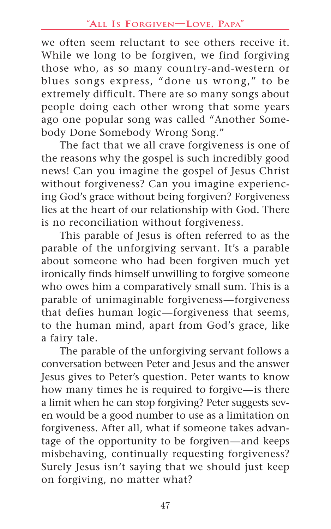we often seem reluctant to see others receive it. While we long to be forgiven, we find forgiving those who, as so many country-and-western or blues songs express, "done us wrong," to be extremely difficult. There are so many songs about people doing each other wrong that some years ago one popular song was called "Another Somebody Done Somebody Wrong Song."

The fact that we all crave forgiveness is one of the reasons why the gospel is such incredibly good news! Can you imagine the gospel of Jesus Christ without forgiveness? Can you imagine experiencing God's grace without being forgiven? Forgiveness lies at the heart of our relationship with God. There is no reconciliation without forgiveness.

This parable of Jesus is often referred to as the parable of the unforgiving servant. It's a parable about someone who had been forgiven much yet ironically finds himself unwilling to forgive someone who owes him a comparatively small sum. This is a parable of unimaginable forgiveness—forgiveness that defies human logic—forgiveness that seems, to the human mind, apart from God's grace, like a fairy tale.

The parable of the unforgiving servant follows a conversation between Peter and Jesus and the answer Jesus gives to Peter's question. Peter wants to know how many times he is required to forgive—is there a limit when he can stop forgiving? Peter suggests seven would be a good number to use as a limitation on forgiveness. After all, what if someone takes advantage of the opportunity to be forgiven—and keeps misbehaving, continually requesting forgiveness? Surely Jesus isn't saying that we should just keep on forgiving, no matter what?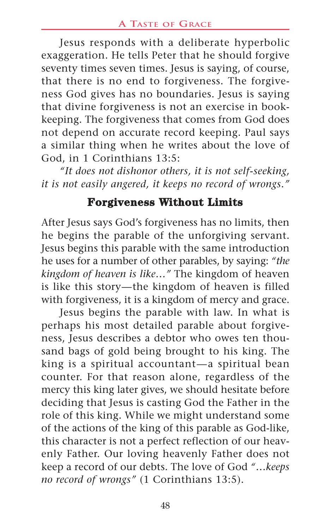Jesus responds with a deliberate hyperbolic exaggeration. He tells Peter that he should forgive seventy times seven times. Jesus is saying, of course, that there is no end to forgiveness. The forgiveness God gives has no boundaries. Jesus is saying that divine forgiveness is not an exercise in bookkeeping. The forgiveness that comes from God does not depend on accurate record keeping. Paul says a similar thing when he writes about the love of God, in 1 Corinthians 13:5:

*"It does not dishonor others, it is not self-seeking, it is not easily angered, it keeps no record of wrongs."*

## **Forgiveness Without Limits**

After Jesus says God's forgiveness has no limits, then he begins the parable of the unforgiving servant. Jesus begins this parable with the same introduction he uses for a number of other parables, by saying: *"the kingdom of heaven is like…"* The kingdom of heaven is like this story—the kingdom of heaven is filled with forgiveness, it is a kingdom of mercy and grace.

Jesus begins the parable with law. In what is perhaps his most detailed parable about forgiveness, Jesus describes a debtor who owes ten thousand bags of gold being brought to his king. The king is a spiritual accountant—a spiritual bean counter. For that reason alone, regardless of the mercy this king later gives, we should hesitate before deciding that Jesus is casting God the Father in the role of this king. While we might understand some of the actions of the king of this parable as God-like, this character is not a perfect reflection of our heavenly Father. Our loving heavenly Father does not keep a record of our debts. The love of God *"…keeps no record of wrongs"* (1 Corinthians 13:5).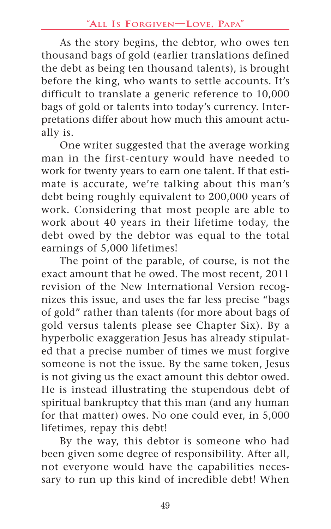As the story begins, the debtor, who owes ten thousand bags of gold (earlier translations defined the debt as being ten thousand talents), is brought before the king, who wants to settle accounts. It's difficult to translate a generic reference to 10,000 bags of gold or talents into today's currency. Interpretations differ about how much this amount actually is.

One writer suggested that the average working man in the first-century would have needed to work for twenty years to earn one talent. If that estimate is accurate, we're talking about this man's debt being roughly equivalent to 200,000 years of work. Considering that most people are able to work about 40 years in their lifetime today, the debt owed by the debtor was equal to the total earnings of 5,000 lifetimes!

The point of the parable, of course, is not the exact amount that he owed. The most recent, 2011 revision of the New International Version recognizes this issue, and uses the far less precise "bags of gold" rather than talents (for more about bags of gold versus talents please see Chapter Six). By a hyperbolic exaggeration Jesus has already stipulated that a precise number of times we must forgive someone is not the issue. By the same token, Jesus is not giving us the exact amount this debtor owed. He is instead illustrating the stupendous debt of spiritual bankruptcy that this man (and any human for that matter) owes. No one could ever, in 5,000 lifetimes, repay this debt!

By the way, this debtor is someone who had been given some degree of responsibility. After all, not everyone would have the capabilities necessary to run up this kind of incredible debt! When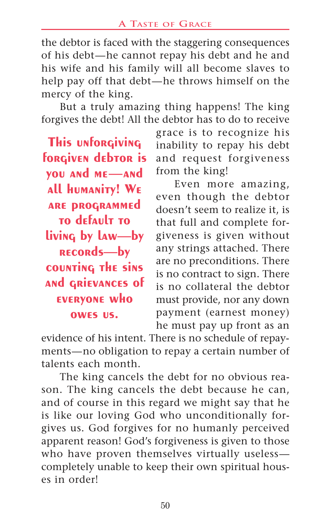the debtor is faced with the staggering consequences of his debt—he cannot repay his debt and he and his wife and his family will all become slaves to help pay off that debt—he throws himself on the mercy of the king.

But a truly amazing thing happens! The king forgives the debt! All the debtor has to do to receive

**This unforgiving forgiven debtor is you and me—and all humanity! We are programmed to default to living by law—by records—by counting the sins and grievances of everyone who owes us.**

grace is to recognize his inability to repay his debt and request forgiveness from the king!

Even more amazing, even though the debtor doesn't seem to realize it, is that full and complete forgiveness is given without any strings attached. There are no preconditions. There is no contract to sign. There is no collateral the debtor must provide, nor any down payment (earnest money) he must pay up front as an

evidence of his intent. There is no schedule of repayments—no obligation to repay a certain number of talents each month.

The king cancels the debt for no obvious reason. The king cancels the debt because he can, and of course in this regard we might say that he is like our loving God who unconditionally forgives us. God forgives for no humanly perceived apparent reason! God's forgiveness is given to those who have proven themselves virtually useless completely unable to keep their own spiritual houses in order!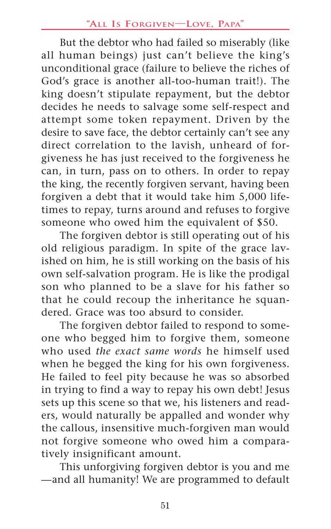But the debtor who had failed so miserably (like all human beings) just can't believe the king's unconditional grace (failure to believe the riches of God's grace is another all-too-human trait!). The king doesn't stipulate repayment, but the debtor decides he needs to salvage some self-respect and attempt some token repayment. Driven by the desire to save face, the debtor certainly can't see any direct correlation to the lavish, unheard of forgiveness he has just received to the forgiveness he can, in turn, pass on to others. In order to repay the king, the recently forgiven servant, having been forgiven a debt that it would take him 5,000 lifetimes to repay, turns around and refuses to forgive someone who owed him the equivalent of \$50.

The forgiven debtor is still operating out of his old religious paradigm. In spite of the grace lavished on him, he is still working on the basis of his own self-salvation program. He is like the prodigal son who planned to be a slave for his father so that he could recoup the inheritance he squandered. Grace was too absurd to consider.

The forgiven debtor failed to respond to someone who begged him to forgive them, someone who used *the exact same words* he himself used when he begged the king for his own forgiveness. He failed to feel pity because he was so absorbed in trying to find a way to repay his own debt! Jesus sets up this scene so that we, his listeners and readers, would naturally be appalled and wonder why the callous, insensitive much-forgiven man would not forgive someone who owed him a comparatively insignificant amount.

This unforgiving forgiven debtor is you and me —and all humanity! We are programmed to default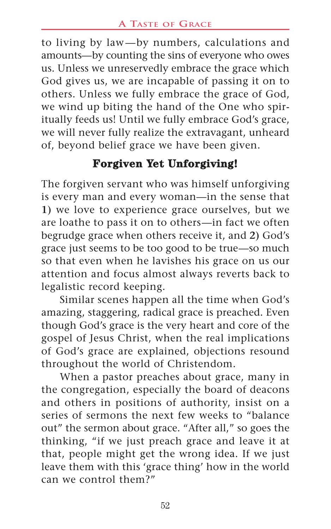to living by law—by numbers, calculations and amounts—by counting the sins of everyone who owes us. Unless we unreservedly embrace the grace which God gives us, we are incapable of passing it on to others. Unless we fully embrace the grace of God, we wind up biting the hand of the One who spiritually feeds us! Until we fully embrace God's grace, we will never fully realize the extravagant, unheard of, beyond belief grace we have been given.

## **Forgiven Yet Unforgiving!**

The forgiven servant who was himself unforgiving is every man and every woman—in the sense that **1)** we love to experience grace ourselves, but we are loathe to pass it on to others—in fact we often begrudge grace when others receive it, and **2)** God's grace just seems to be too good to be true—so much so that even when he lavishes his grace on us our attention and focus almost always reverts back to legalistic record keeping.

Similar scenes happen all the time when God's amazing, staggering, radical grace is preached. Even though God's grace is the very heart and core of the gospel of Jesus Christ, when the real implications of God's grace are explained, objections resound throughout the world of Christendom.

When a pastor preaches about grace, many in the congregation, especially the board of deacons and others in positions of authority, insist on a series of sermons the next few weeks to "balance out" the sermon about grace. "After all," so goes the thinking, "if we just preach grace and leave it at that, people might get the wrong idea. If we just leave them with this 'grace thing' how in the world can we control them?"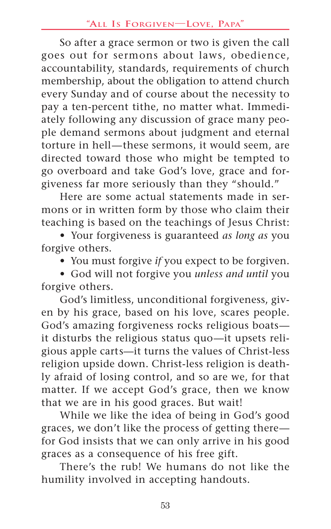So after a grace sermon or two is given the call goes out for sermons about laws, obedience, accountability, standards, requirements of church membership, about the obligation to attend church every Sunday and of course about the necessity to pay a ten-percent tithe, no matter what. Immediately following any discussion of grace many people demand sermons about judgment and eternal torture in hell—these sermons, it would seem, are directed toward those who might be tempted to go overboard and take God's love, grace and forgiveness far more seriously than they "should."

Here are some actual statements made in sermons or in written form by those who claim their teaching is based on the teachings of Jesus Christ:

• Your forgiveness is guaranteed *as long as* you forgive others.

• You must forgive *if* you expect to be forgiven.

• God will not forgive you *unless and until* you forgive others.

God's limitless, unconditional forgiveness, given by his grace, based on his love, scares people. God's amazing forgiveness rocks religious boats it disturbs the religious status quo—it upsets religious apple carts—it turns the values of Christ-less religion upside down. Christ-less religion is deathly afraid of losing control, and so are we, for that matter. If we accept God's grace, then we know that we are in his good graces. But wait!

While we like the idea of being in God's good graces, we don't like the process of getting there for God insists that we can only arrive in his good graces as a consequence of his free gift.

There's the rub! We humans do not like the humility involved in accepting handouts.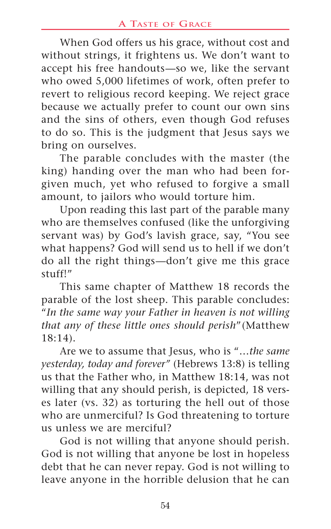When God offers us his grace, without cost and without strings, it frightens us. We don't want to accept his free handouts—so we, like the servant who owed 5,000 lifetimes of work, often prefer to revert to religious record keeping. We reject grace because we actually prefer to count our own sins and the sins of others, even though God refuses to do so. This is the judgment that Jesus says we bring on ourselves.

The parable concludes with the master (the king) handing over the man who had been forgiven much, yet who refused to forgive a small amount, to jailors who would torture him.

Upon reading this last part of the parable many who are themselves confused (like the unforgiving servant was) by God's lavish grace, say, "You see what happens? God will send us to hell if we don't do all the right things—don't give me this grace stuff!"

This same chapter of Matthew 18 records the parable of the lost sheep. This parable concludes: "*In the same way your Father in heaven is not willing that any of these little ones should perish*"(Matthew 18:14).

Are we to assume that Jesus, who is "…*the same yesterday, today and forever"* (Hebrews 13:8) is telling us that the Father who, in Matthew 18:14, was not willing that any should perish, is depicted, 18 verses later (vs. 32) as torturing the hell out of those who are unmerciful? Is God threatening to torture us unless we are merciful?

God is not willing that anyone should perish. God is not willing that anyone be lost in hopeless debt that he can never repay. God is not willing to leave anyone in the horrible delusion that he can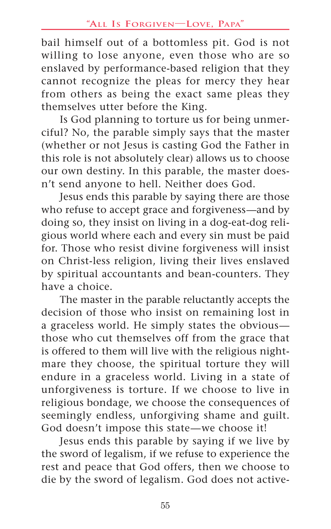bail himself out of a bottomless pit. God is not willing to lose anyone, even those who are so enslaved by performance-based religion that they cannot recognize the pleas for mercy they hear from others as being the exact same pleas they themselves utter before the King.

Is God planning to torture us for being unmerciful? No, the parable simply says that the master (whether or not Jesus is casting God the Father in this role is not absolutely clear) allows us to choose our own destiny. In this parable, the master doesn't send anyone to hell. Neither does God.

Jesus ends this parable by saying there are those who refuse to accept grace and forgiveness—and by doing so, they insist on living in a dog-eat-dog religious world where each and every sin must be paid for. Those who resist divine forgiveness will insist on Christ-less religion, living their lives enslaved by spiritual accountants and bean-counters. They have a choice.

The master in the parable reluctantly accepts the decision of those who insist on remaining lost in a graceless world. He simply states the obvious those who cut themselves off from the grace that is offered to them will live with the religious nightmare they choose, the spiritual torture they will endure in a graceless world. Living in a state of unforgiveness is torture. If we choose to live in religious bondage, we choose the consequences of seemingly endless, unforgiving shame and guilt. God doesn't impose this state—we choose it!

Jesus ends this parable by saying if we live by the sword of legalism, if we refuse to experience the rest and peace that God offers, then we choose to die by the sword of legalism. God does not active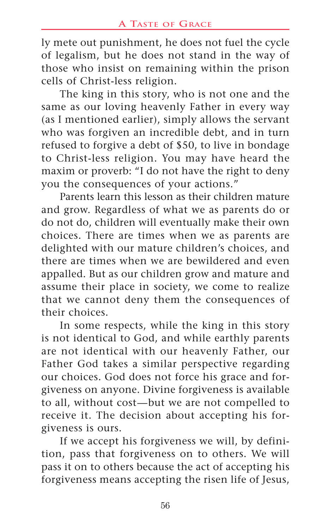ly mete out punishment, he does not fuel the cycle of legalism, but he does not stand in the way of those who insist on remaining within the prison cells of Christ-less religion.

The king in this story, who is not one and the same as our loving heavenly Father in every way (as I mentioned earlier), simply allows the servant who was forgiven an incredible debt, and in turn refused to forgive a debt of \$50, to live in bondage to Christ-less religion. You may have heard the maxim or proverb: "I do not have the right to deny you the consequences of your actions."

Parents learn this lesson as their children mature and grow. Regardless of what we as parents do or do not do, children will eventually make their own choices. There are times when we as parents are delighted with our mature children's choices, and there are times when we are bewildered and even appalled. But as our children grow and mature and assume their place in society, we come to realize that we cannot deny them the consequences of their choices.

In some respects, while the king in this story is not identical to God, and while earthly parents are not identical with our heavenly Father, our Father God takes a similar perspective regarding our choices. God does not force his grace and forgiveness on anyone. Divine forgiveness is available to all, without cost—but we are not compelled to receive it. The decision about accepting his forgiveness is ours.

If we accept his forgiveness we will, by definition, pass that forgiveness on to others. We will pass it on to others because the act of accepting his forgiveness means accepting the risen life of Jesus,